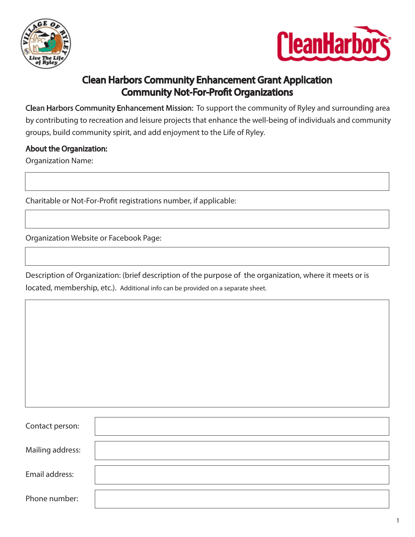



## Clean Harbors Community Enhancement Grant Application **Community Not-For-Profit Organizations**

Clean Harbors Community Enhancement Mission: To support the community of Ryley and surrounding area by contributing to recreation and leisure projects that enhance the well-being of individuals and community groups, build community spirit, and add enjoyment to the Life of Ryley.

### About the Organization:

Organization Name:

Charitable or Not-For-Profit registrations number, if applicable:

Organization Website or Facebook Page:

Description of Organization: (brief description of the purpose of the organization, where it meets or is located, membership, etc.). Additional info can be provided on a separate sheet.

| Contact person:  |  |
|------------------|--|
|                  |  |
| Mailing address: |  |
|                  |  |
| Email address:   |  |
|                  |  |
| Phone number:    |  |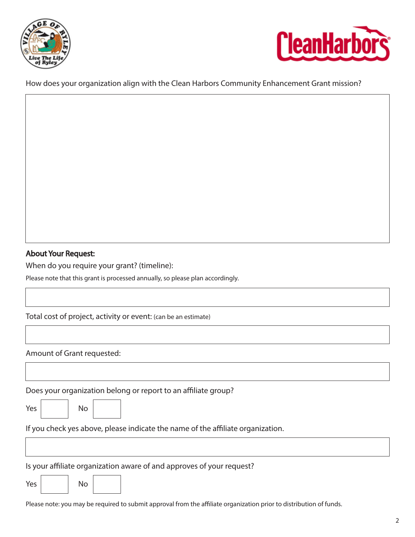



How does your organization align with the Clean Harbors Community Enhancement Grant mission?

### About Your Request:

When do you require your grant? (timeline):

Please note that this grant is processed annually, so please plan accordingly.

Total cost of project, activity or event: (can be an estimate)

Amount of Grant requested:

Does your organization belong or report to an affiliate group?

| w<br>v |
|--------|
|        |

 $No$ 

If you check yes above, please indicate the name of the affiliate organization.

Is your affiliate organization aware of and approves of your request?

| Yes |  | No |  |
|-----|--|----|--|
|-----|--|----|--|

Please note: you may be required to submit approval from the affiliate organization prior to distribution of funds.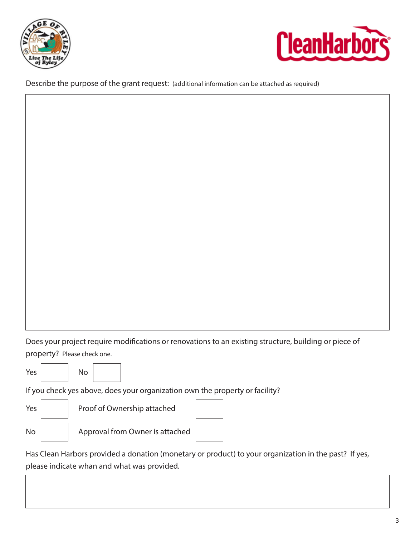



Describe the purpose of the grant request: (additional information can be attached as required)

Does your project require modifications or renovations to an existing structure, building or piece of property? Please check one.



If you check yes above, does your organization own the property or facility?



Has Clean Harbors provided a donation (monetary or product) to your organization in the past? If yes, please indicate whan and what was provided.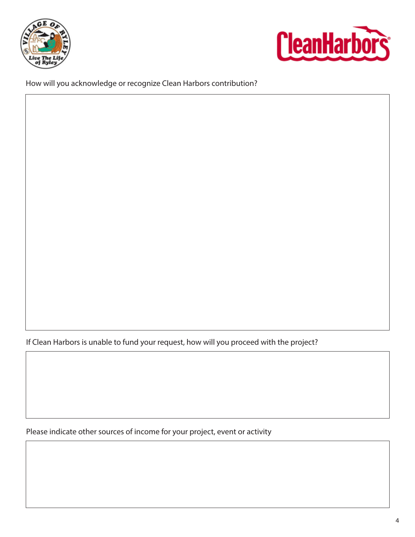



How will you acknowledge or recognize Clean Harbors contribution?

If Clean Harbors is unable to fund your request, how will you proceed with the project?

Please indicate other sources of income for your project, event or activity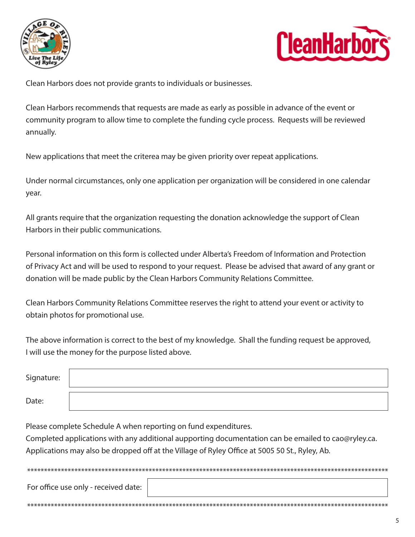



Clean Harbors does not provide grants to individuals or businesses.

Clean Harbors recommends that requests are made as early as possible in advance of the event or community program to allow time to complete the funding cycle process. Requests will be reviewed annually.

New applications that meet the criterea may be given priority over repeat applications.

Under normal circumstances, only one application per organization will be considered in one calendar year.

All grants require that the organization requesting the donation acknowledge the support of Clean Harbors in their public communications.

Personal information on this form is collected under Alberta's Freedom of Information and Protection of Privacy Act and will be used to respond to your request. Please be advised that award of any grant or donation will be made public by the Clean Harbors Community Relations Committee.

Clean Harbors Community Relations Committee reserves the right to attend your event or activity to obtain photos for promotional use.

The above information is correct to the best of my knowledge. Shall the funding request be approved, I will use the money for the purpose listed above.

| Signature: |  |
|------------|--|
| Date:      |  |

Please complete Schedule A when reporting on fund expenditures.

Completed applications with any additional aupporting documentation can be emailed to cao@ryley.ca. Applications may also be dropped off at the Village of Ryley Office at 5005 50 St., Ryley, Ab.

For office use only - received date: